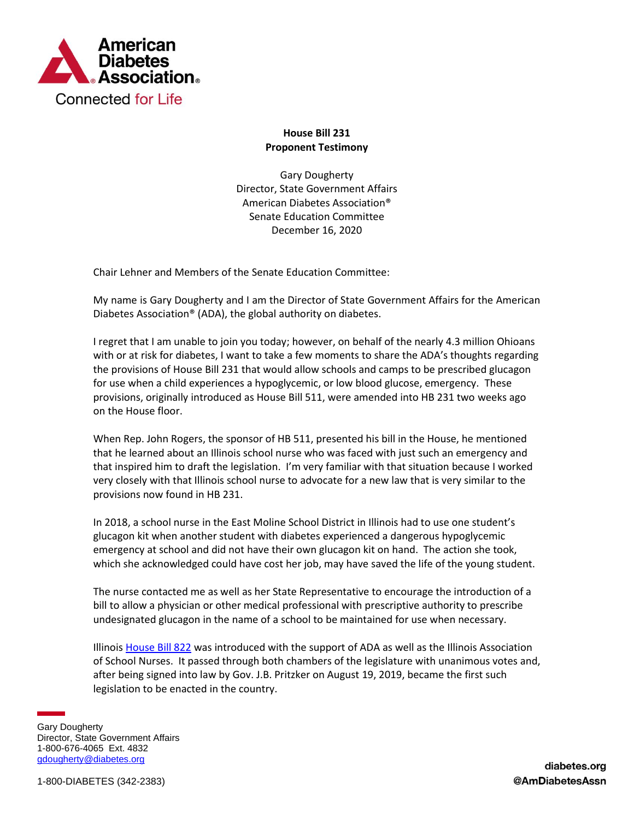

## **House Bill 231 Proponent Testimony**

Gary Dougherty Director, State Government Affairs American Diabetes Association® Senate Education Committee December 16, 2020

Chair Lehner and Members of the Senate Education Committee:

My name is Gary Dougherty and I am the Director of State Government Affairs for the American Diabetes Association® (ADA), the global authority on diabetes.

I regret that I am unable to join you today; however, on behalf of the nearly 4.3 million Ohioans with or at risk for diabetes, I want to take a few moments to share the ADA's thoughts regarding the provisions of House Bill 231 that would allow schools and camps to be prescribed glucagon for use when a child experiences a hypoglycemic, or low blood glucose, emergency. These provisions, originally introduced as House Bill 511, were amended into HB 231 two weeks ago on the House floor.

When Rep. John Rogers, the sponsor of HB 511, presented his bill in the House, he mentioned that he learned about an Illinois school nurse who was faced with just such an emergency and that inspired him to draft the legislation. I'm very familiar with that situation because I worked very closely with that Illinois school nurse to advocate for a new law that is very similar to the provisions now found in HB 231.

In 2018, a school nurse in the East Moline School District in Illinois had to use one student's glucagon kit when another student with diabetes experienced a dangerous hypoglycemic emergency at school and did not have their own glucagon kit on hand. The action she took, which she acknowledged could have cost her job, may have saved the life of the young student.

The nurse contacted me as well as her State Representative to encourage the introduction of a bill to allow a physician or other medical professional with prescriptive authority to prescribe undesignated glucagon in the name of a school to be maintained for use when necessary.

Illinois [House Bill 822](https://ilga.gov/legislation/publicacts/101/PDF/101-0428.pdf) was introduced with the support of ADA as well as the Illinois Association of School Nurses. It passed through both chambers of the legislature with unanimous votes and, after being signed into law by Gov. J.B. Pritzker on August 19, 2019, became the first such legislation to be enacted in the country.

Gary Dougherty Director, State Government Affairs 1-800-676-4065 Ext. 4832 [gdougherty@diabetes.org](mailto:gdougherty@diabetes.org)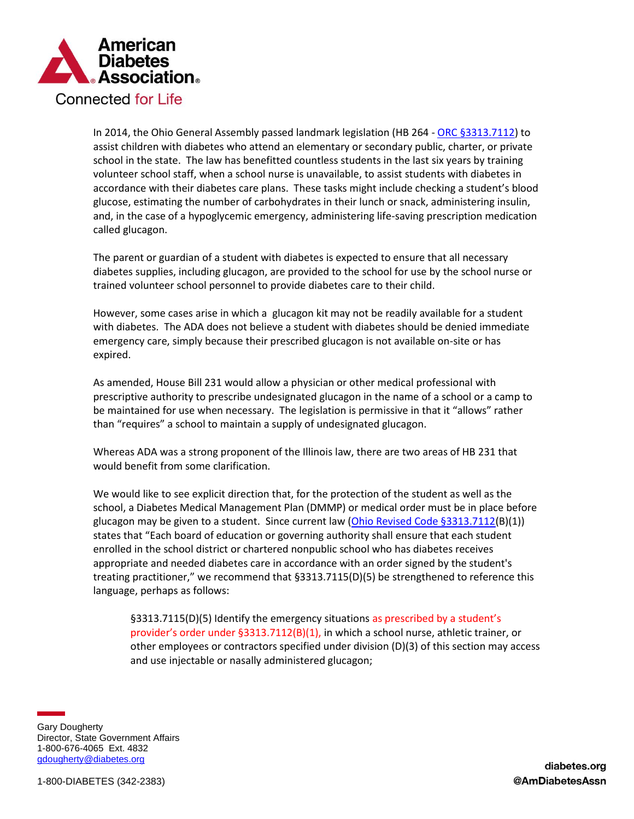

In 2014, the Ohio General Assembly passed landmark legislation (HB 264 - [ORC §3313.7112\)](http://codes.ohio.gov/orc/3313.7112) to assist children with diabetes who attend an elementary or secondary public, charter, or private school in the state. The law has benefitted countless students in the last six years by training volunteer school staff, when a school nurse is unavailable, to assist students with diabetes in accordance with their diabetes care plans. These tasks might include checking a student's blood glucose, estimating the number of carbohydrates in their lunch or snack, administering insulin, and, in the case of a hypoglycemic emergency, administering life-saving prescription medication called glucagon.

The parent or guardian of a student with diabetes is expected to ensure that all necessary diabetes supplies, including glucagon, are provided to the school for use by the school nurse or trained volunteer school personnel to provide diabetes care to their child.

However, some cases arise in which a glucagon kit may not be readily available for a student with diabetes. The ADA does not believe a student with diabetes should be denied immediate emergency care, simply because their prescribed glucagon is not available on-site or has expired.

As amended, House Bill 231 would allow a physician or other medical professional with prescriptive authority to prescribe undesignated glucagon in the name of a school or a camp to be maintained for use when necessary. The legislation is permissive in that it "allows" rather than "requires" a school to maintain a supply of undesignated glucagon.

Whereas ADA was a strong proponent of the Illinois law, there are two areas of HB 231 that would benefit from some clarification.

We would like to see explicit direction that, for the protection of the student as well as the school, a Diabetes Medical Management Plan (DMMP) or medical order must be in place before glucagon may be given to a student. Since current law [\(Ohio Revised Code §3313.7112\(](http://codes.ohio.gov/orc/3313.7112)B)(1)) states that "Each board of education or governing authority shall ensure that each student enrolled in the school district or chartered nonpublic school who has diabetes receives appropriate and needed diabetes care in accordance with an order signed by the student's treating practitioner," we recommend that §3313.7115(D)(5) be strengthened to reference this language, perhaps as follows:

§3313.7115(D)(5) Identify the emergency situations as prescribed by a student's provider's order under §3313.7112(B)(1), in which a school nurse, athletic trainer, or other employees or contractors specified under division (D)(3) of this section may access and use injectable or nasally administered glucagon;

Gary Dougherty Director, State Government Affairs 1-800-676-4065 Ext. 4832 [gdougherty@diabetes.org](mailto:gdougherty@diabetes.org)